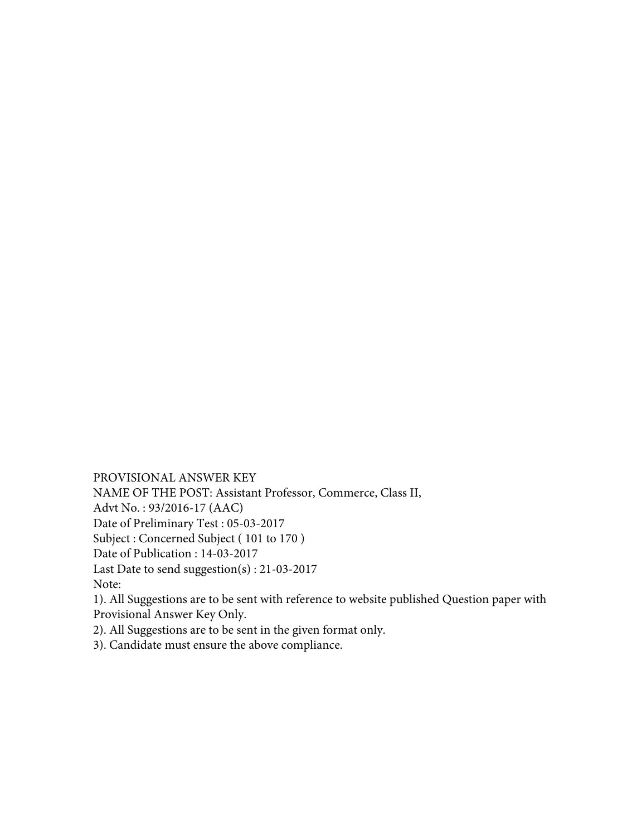PROVISIONAL ANSWER KEY NAME OF THE POST: Assistant Professor, Commerce, Class II, Advt No. : 93/2016-17 (AAC) Date of Preliminary Test : 05-03-2017 Subject : Concerned Subject ( 101 to 170 ) Date of Publication : 14-03-2017 Last Date to send suggestion(s) : 21-03-2017 Note: 1). All Suggestions are to be sent with reference to website published Question paper with Provisional Answer Key Only.

2). All Suggestions are to be sent in the given format only.

3). Candidate must ensure the above compliance.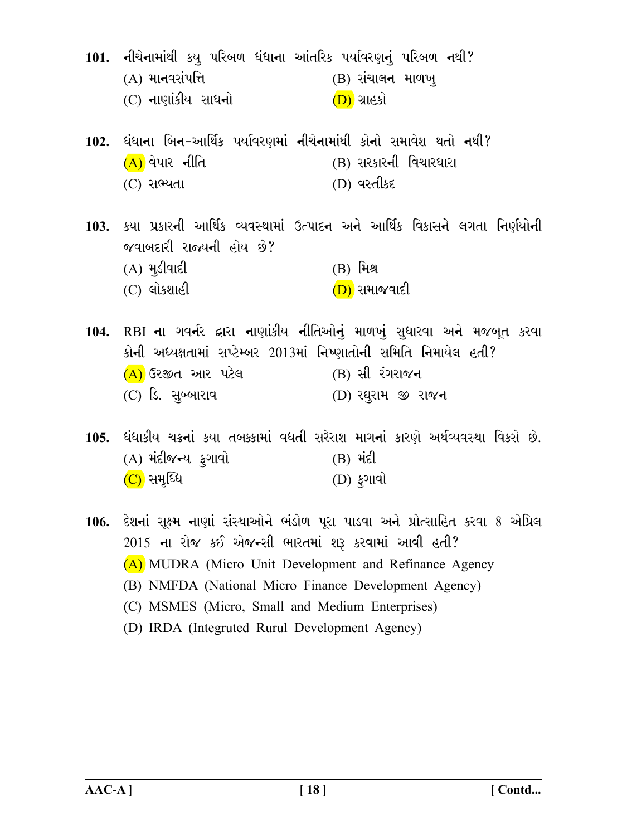- 101. નીચેનામાંથી કયુ પરિબળ ધંધાના આંતરિક પર્યાવરણનું પરિબળ નથી?  $(A)$  માનવસંપત્તિ  $(B)$  સંચાલન માળખ (C) નાણાંકીય સાધનો <u>(D)</u> ગ્રાહકો
- 102. ધંધાના બિન-આર્થિક પર્યાવરણમાં નીચેનામાંથી કોનો સમાવેશ થતો નથી?  $(A)$ વેપાર નીતિ (B) સરકારની વિચારધારા (C) સભ્યતા (D) વસ્તીકદ
- 103. કયા પ્રકારની આર્થિક વ્યવસ્થામાં ઉત્પાદન અને આર્થિક વિકાસને લગતા નિર્ણયોની જવાબદારી રાજ્યની હોય છે? **(B)** મિશ્ર  $(A)$  મૂડીવાદી  $(C)$  લોકશાહી (D) સમાજવાદી
- 104. RBI ના ગવર્નર દ્વારા નાણાંકીય નીતિઓનું માળખું સુધારવા અને મજબુત કરવા કોની અધ્યક્ષતામાં સપ્ટેમ્બર 2013માં નિષ્ણાતોની સમિતિ નિમાયેલ હતી? (A) ઉરજીત આર પટેલ (B) સી રંગરાજન (C) ડિ. સબ્બારાવ (D) રઘુરામ જી રાજન

105. ધંધાકીય ચક્રનાં કયા તબક્કામાં વધતી સરેરાશ માગનાં કારણે અર્થવ્યવસ્થા વિકસે છે. (A) મંદીજન્ય ફગાવો  $(B)$   $\forall$ i $\in$  $(C)$  સમૃધ્ધિ (D) ફગાવો

- 106. દેશનાં સૂક્ષ્મ નાણાં સંસ્થાઓને ભંડોળ પૂરા પાડવા અને પ્રોત્સાહિત કરવા 8 એપ્રિલ 2015 ના રોજ કઈ એજન્સી ભારતમાં શરૂ કરવામાં આવી હતી? (A) MUDRA (Micro Unit Development and Refinance Agency (B) NMFDA (National Micro Finance Development Agency) (C) MSMES (Micro, Small and Medium Enterprises)
	- (D) IRDA (Integruted Rurul Development Agency)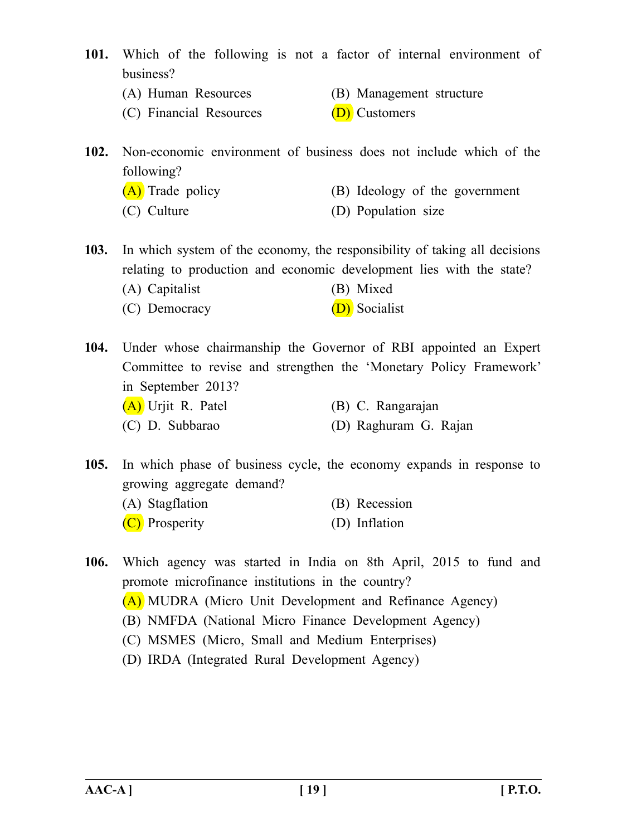- **101.** Which of the following is not a factor of internal environment of business?
	- (A) Human Resources (B) Management structure
	- (C) Financial Resources  $(D)$  Customers
		-
- **102.** Non-economic environment of business does not include which of the following?
	- (A) Trade policy (B) Ideology of the government
	- (C) Culture (D) Population size

**103.** In which system of the economy, the responsibility of taking all decisions relating to production and economic development lies with the state? (A) Capitalist (B) Mixed

(C) Democracy (D) Socialist

**104.** Under whose chairmanship the Governor of RBI appointed an Expert Committee to revise and strengthen the 'Monetary Policy Framework' in September 2013? (A) Urjit R. Patel (B) C. Rangarajan

(C) D. Subbarao (D) Raghuram G. Rajan

**105.** In which phase of business cycle, the economy expands in response to growing aggregate demand?

- (A) Stagflation (B) Recession
- (C) Prosperity (D) Inflation

**106.** Which agency was started in India on 8th April, 2015 to fund and promote microfinance institutions in the country?

- (A) MUDRA (Micro Unit Development and Refinance Agency)
- (B) NMFDA (National Micro Finance Development Agency)
- (C) MSMES (Micro, Small and Medium Enterprises)
- (D) IRDA (Integrated Rural Development Agency)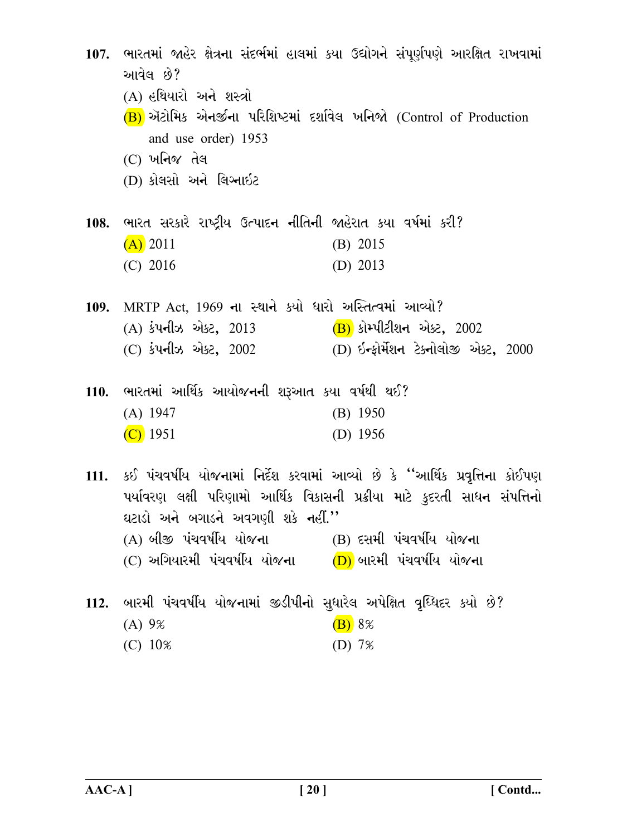107. ભારતમાં જાહેર ક્ષેત્રના સંદર્ભમાં હાલમાં કયા ઉદ્યોગને સંપૂર્ણપણે આરક્ષિત રાખવામાં આવેલ છે? (A) હથિયારો અને શસ્ત્રો  $(B)$  ઍટોમિક એનર્જીના પરિશિષ્ટમાં દર્શાવેલ ખનિજો (Control of Production and use order) 1953  $(C)$  ખનિજ તેલ (D) કોલસો અને લિગ્નાઇટ 108. ભારત સરકારે રાષ્ટીય ઉત્પાદન નીતિની જાહેરાત કયા વર્ષમાં કરી?  $(A)$  2011  $(B)$  2015  $(C)$  2016 (D)  $2013$ 109. MRTP Act, 1969 ના સ્થાને કર્યો ધારો અસ્તિત્વમાં આવ્યો? (A) કંપનીઝ એક્ટ, 2013 (B) કોમ્પીટીશન એક્ટ, 2002 (D) ઇન્કોર્મેશન ટેક્નોલોજી એક્ટ, 2000 (C) કંપનીઝ એક્ટ, 2002 110. ભારતમાં આર્થિક આયોજનની શરૂઆત કયા વર્ષથી થઈ?  $(A) 1947$  $(B)$  1950  $(C)$  1951 (D)  $1956$ 111. કઈ પંચવર્ષીય યોજનામાં નિર્દેશ કરવામાં આવ્યો છે કે ''આર્થિક પ્રવૃત્તિના કોઈપણ પર્યાવરણ લક્ષી પરિણામો આર્થિક વિકાસની પ્રક્રીયા માટે કુદરતી સાધન સંપત્તિનો ઘટાડો અને બગાડને અવગણી શકે નહીં.''  $(A)$  બીજી પંચવર્ષીય યોજના $(B)$  દસમી પંચવર્ષીય યોજના  $(C)$  અગિયારમી પંચવર્ષીય યોજના $(D)$  બારમી પંચવર્ષીય યોજના 112. બારમી પંચવર્ષીય યોજનામાં જીડીપીનો સુધારેલ અપેક્ષિત વૃધ્ધિદર કયો છે?

- $(B)$  8%  $(A) 9%$
- (D)  $7%$  $(C) 10%$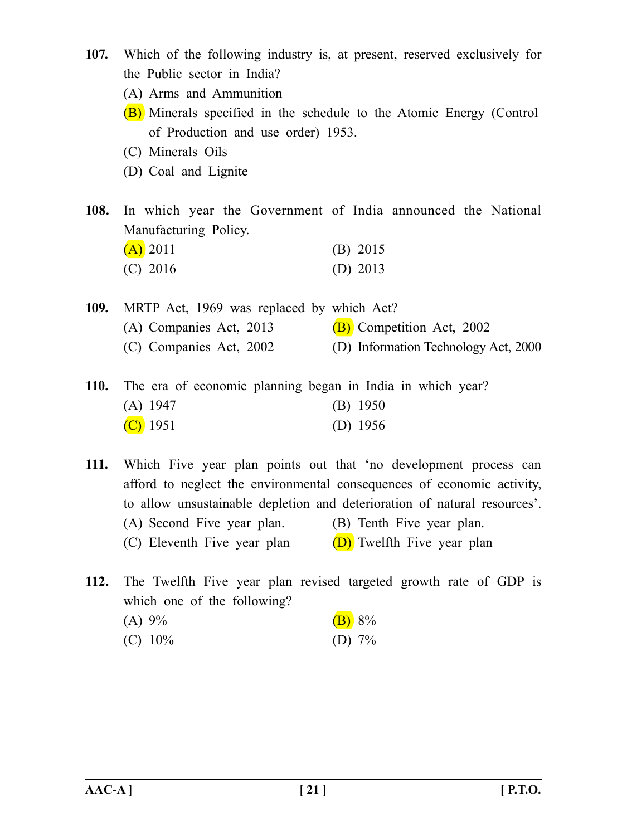- **107.** Which of the following industry is, at present, reserved exclusively for the Public sector in India?
	- (A) Arms and Ammunition
	- (B) Minerals specified in the schedule to the Atomic Energy (Control of Production and use order) 1953.
	- (C) Minerals Oils
	- (D) Coal and Lignite

**108.** In which year the Government of India announced the National Manufacturing Policy.

| $(A)$ 2011 | $(B)$ 2015 |
|------------|------------|
| $(C)$ 2016 | (D) $2013$ |

| 109. | MRTP Act, 1969 was replaced by which Act? |                                      |
|------|-------------------------------------------|--------------------------------------|
|      | (A) Companies Act, 2013                   | (B) Competition Act, 2002            |
|      | (C) Companies Act, 2002                   | (D) Information Technology Act, 2000 |
|      |                                           |                                      |

**110.** The era of economic planning began in India in which year? (A) 1947 (B) 1950  $(C)$  1951 (D) 1956

**111.** Which Five year plan points out that 'no development process can afford to neglect the environmental consequences of economic activity, to allow unsustainable depletion and deterioration of natural resources'. (A) Second Five year plan. (B) Tenth Five year plan. (C) Eleventh Five year plan  $(D)$  Twelfth Five year plan

**112.** The Twelfth Five year plan revised targeted growth rate of GDP is which one of the following? (A)  $9\%$  (B)  $8\%$ (C)  $10\%$  (D)  $7\%$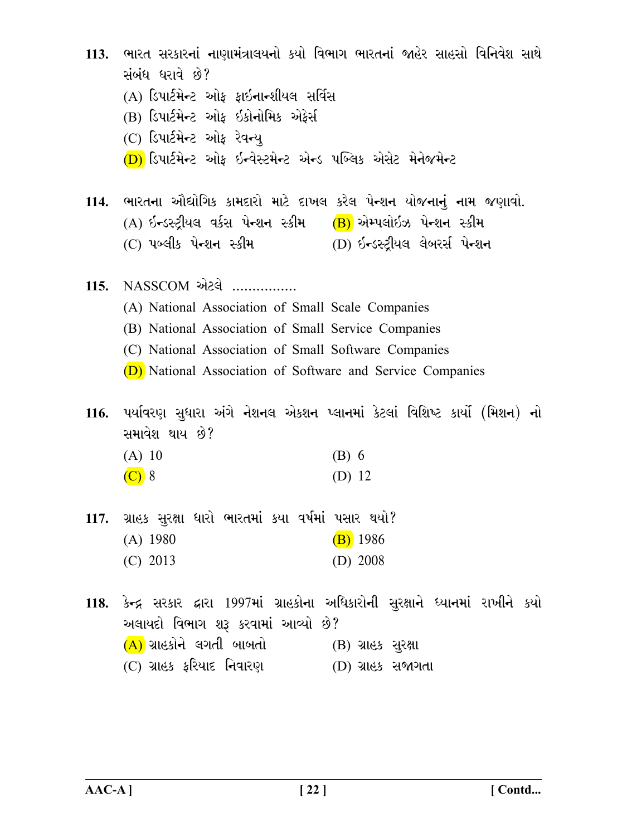| 113. |                                                                         | ભારત સરકારનાં નાણામંત્રાલયનો કયો વિભાગ ભારતનાં જાહેર સાહસો વિનિવેશ સાથે             |
|------|-------------------------------------------------------------------------|-------------------------------------------------------------------------------------|
|      | સંબંધ ધરાવે છે?                                                         |                                                                                     |
|      | (A) ડિપાર્ટમેન્ટ ઓફ ફાઇનાન્શીયલ સર્વિસ                                  |                                                                                     |
|      | (B) ડિપાર્ટમેન્ટ ઓફ ઇકોનોમિક એફેર્સ                                     |                                                                                     |
|      | (C) ડિપાર્ટમેન્ટ ઓફ રેવન્યુ                                             |                                                                                     |
|      | (D) ડિપાર્ટમેન્ટ ઓફ ઇન્વેસ્ટમેન્ટ એન્ડ પબ્લિક એસેટ મેનેજમેન્ટ           |                                                                                     |
|      |                                                                         | 114. ભારતના ઔદ્યોગિક કામદારો માટે દાખલ કરેલ પેન્શન યોજનાનું નામ જણાવો.              |
|      | (A) ઇન્ડસ્ટ્રીયલ વર્કસ પેન્શન સ્કીમ (B) એમ્પલોઇઝ પેન્શન સ્કીમ           |                                                                                     |
|      | (C) પબ્લીક પેન્શન સ્કીમ                 (D) ઇન્ડસ્ટ્રીયલ લેબરર્સ પેન્શન |                                                                                     |
|      | 115. NASSCOM એટલે                                                       |                                                                                     |
|      | (A) National Association of Small Scale Companies                       |                                                                                     |
|      | (B) National Association of Small Service Companies                     |                                                                                     |
|      | (C) National Association of Small Software Companies                    |                                                                                     |
|      | (D) National Association of Software and Service Companies              |                                                                                     |
|      | સમાવેશ થાય છે?                                                          | 116. પર્યાવરણ સુધારા અંગે નેશનલ એકશન પ્લાનમાં કેટલાં વિશિષ્ટ કાર્યો (મિશન) નો       |
|      | (A) 10                                                                  | $(B)$ 6                                                                             |
|      | $(C)$ 8                                                                 | (D) 12                                                                              |
|      | 117. ગ્રાહક સુરક્ષા ધારો ભારતમાં કયા વર્ષમાં પસાર થયો?                  |                                                                                     |
|      | $(A)$ 1980                                                              | $(B)$ 1986                                                                          |
|      | $(C)$ 2013                                                              | $(D)$ 2008                                                                          |
|      |                                                                         | 118. કેન્દ્ર સરકાર દ્વારા 1997માં ગ્રાહકોના અધિકારોની સુરક્ષાને ધ્યાનમાં રાખીને કયો |
|      | અલાયદો વિભાગ શરૂ કરવામાં આવ્યો છે?                                      |                                                                                     |
|      | (A) ગ્રાહકોને લગતી બાબતો                                                | (B) ગ્રાહક સુરક્ષા                                                                  |
|      | (C) ગ્રાહક ફરિયાદ નિવારણ                                                | (D) ગ્રાહક સજાગતા                                                                   |
|      |                                                                         |                                                                                     |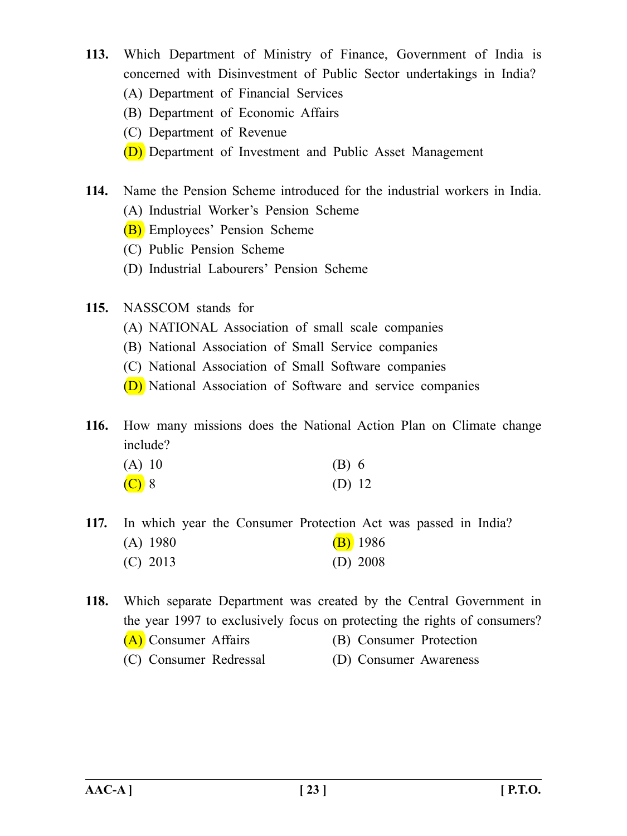- **113.** Which Department of Ministry of Finance, Government of India is concerned with Disinvestment of Public Sector undertakings in India?
	- (A) Department of Financial Services
	- (B) Department of Economic Affairs
	- (C) Department of Revenue
	- (D) Department of Investment and Public Asset Management
- **114.** Name the Pension Scheme introduced for the industrial workers in India.
	- (A) Industrial Worker's Pension Scheme
	- (B) Employees' Pension Scheme
	- (C) Public Pension Scheme
	- (D) Industrial Labourers' Pension Scheme
- **115.** NASSCOM stands for
	- (A) NATIONAL Association of small scale companies
	- (B) National Association of Small Service companies
	- (C) National Association of Small Software companies
	- (D) National Association of Software and service companies

**116.** How many missions does the National Action Plan on Climate change include?

| (A) 10  | $(B)$ 6 |  |
|---------|---------|--|
| $(C)$ 8 | (D) 12  |  |

- **117.** In which year the Consumer Protection Act was passed in India? (A)  $1980$  (B)  $1986$ (C) 2013 (D) 2008
- **118.** Which separate Department was created by the Central Government in the year 1997 to exclusively focus on protecting the rights of consumers? (A) Consumer Affairs (B) Consumer Protection (C) Consumer Redressal (D) Consumer Awareness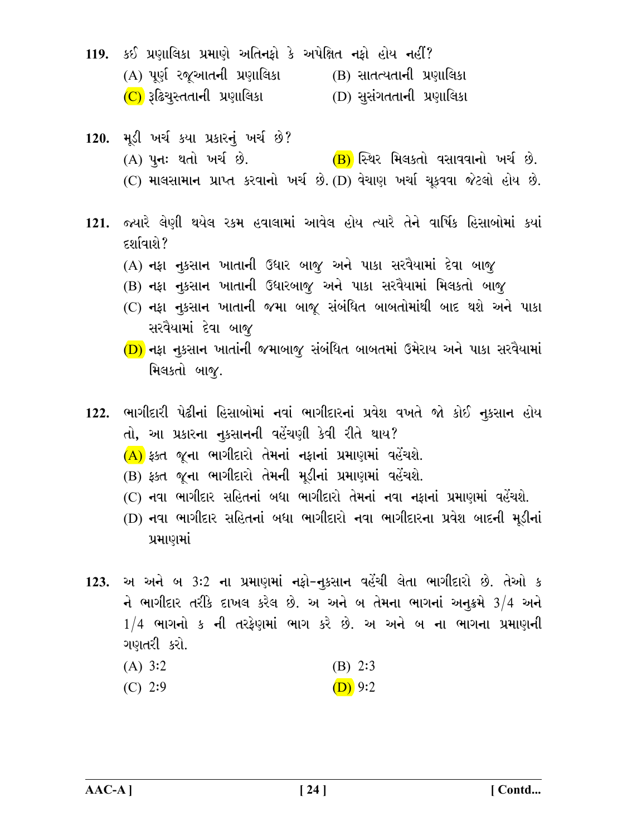- 119. કઈ પ્રણાલિકા પ્રમાણે અતિનફો કે અપેક્ષિત નફો હોય નહીં?  $(A)$  પૂર્ણ રજૂઆતની પ્રણાલિકા  $(B)$  સાતત્યતાની પ્રણાલિકા (C) રૂઢિચુસ્તતાની પ્રણાલિકા (D) સૂસંગતતાની પ્રણાલિકા
- 120. મૂડી ખર્ચ કયા પ્રકારનું ખર્ચ છે? (A) પૂનઃ થતો ખર્ચ છે. (B) સ્થિર મિલકતો વસાવવાનો ખર્ચ છે.  $(C)$  માલસામાન પ્રાપ્ત કરવાનો ખર્ચ છે. (D) વેચાણ ખર્ચા ચૂકવવા જેટલો હોય છે.
- 121. જ્યારે લેણી થયેલ રકમ હવાલામાં આવેલ હોય ત્યારે તેને વાર્ષિક હિસાબોમાં કયાં દર્શાવાશે?
	- (A) નફા નૂકસાન ખાતાની ઉધાર બાજૂ અને પાકા સરવૈયામાં દેવા બાજૂ
	- (B) નફા નૂકસાન ખાતાની ઉધારબાજૂ અને પાકા સરવૈયામાં મિલકતો બાજૂ
	- (C) નફા નૂકસાન ખાતાની જમા બાજૂ સંબંધિત બાબતોમાંથી બાદ થશે અને પાકા સરવૈયામાં દેવા બાજૂ
	- (D) નફા નૂકસાન ખાતાંની જમાબાજુ સંબંધિત બાબતમાં ઉમેરાય અને પાકા સરવૈયામાં મિલકતો બાજૂ.
- 122. ભાગીદારી પેઢીનાં હિસાબોમાં નવાં ભાગીદારનાં પ્રવેશ વખતે જો કોઈ નૂકસાન હોય તો, આ પ્રકારના નૂકસાનની વહેંચણી કેવી રીતે થાય?
	- $(A)$  ફક્ત જૂના ભાગીદારો તેમનાં નફાનાં પ્રમાણમાં વહેંચશે.
	- (B) કક્ત જના ભાગીદારો તેમની મડીનાં પ્રમાણમાં વહેંચશે.
	- (C) નવા ભાગીદાર સહિતનાં બધા ભાગીદારો તેમનાં નવા નકાનાં પ્રમાણમાં વહેંચશે.
	- (D) નવા ભાગીદાર સહિતનાં બધા ભાગીદારો નવા ભાગીદારના પ્રવેશ બાદની મૂડીનાં પ્રમાણમાં
- 123. અ અને બ 3:2 ના પ્રમાણમાં નફો-નુકસાન વહેંચી લેતા ભાગીદારો છે. તેઓ ક ને ભાગીદાર તરીકે દાખલ કરેલ છે. અ અને બ તેમના ભાગનાં અનુક્રમે  $3/4$  અને  $1/4$  ભાગનો ક ની તરફેણમાં ભાગ કરે છે. અ અને બ ના ભાગના પ્રમાણની ગણતરી કરો.
	- $(A)$  3:2  $(B)$  2:3
	- $(C)$  2:9  $(D)$  9:2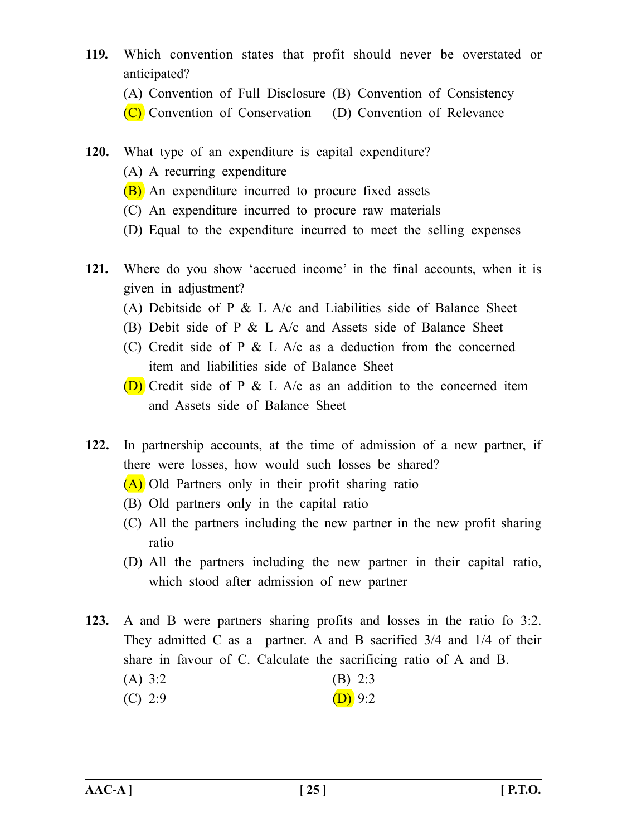- **119.** Which convention states that profit should never be overstated or anticipated?
	- (A) Convention of Full Disclosure (B) Convention of Consistency
	- (C) Convention of Conservation (D) Convention of Relevance
- **120.** What type of an expenditure is capital expenditure?
	- (A) A recurring expenditure
	- (B) An expenditure incurred to procure fixed assets
	- (C) An expenditure incurred to procure raw materials
	- (D) Equal to the expenditure incurred to meet the selling expenses
- **121.** Where do you show 'accrued income' in the final accounts, when it is given in adjustment?
	- (A) Debitside of P  $\&$  L A/c and Liabilities side of Balance Sheet
	- (B) Debit side of P  $&$  L A/c and Assets side of Balance Sheet
	- (C) Credit side of P  $&$  L A/c as a deduction from the concerned item and liabilities side of Balance Sheet
	- **(D)** Credit side of P  $\&$  L A/c as an addition to the concerned item and Assets side of Balance Sheet
- **122.** In partnership accounts, at the time of admission of a new partner, if there were losses, how would such losses be shared?
	- (A) Old Partners only in their profit sharing ratio
	- (B) Old partners only in the capital ratio
	- (C) All the partners including the new partner in the new profit sharing ratio
	- (D) All the partners including the new partner in their capital ratio, which stood after admission of new partner
- **123.** A and B were partners sharing profits and losses in the ratio fo 3:2. They admitted C as a partner. A and B sacrified 3/4 and 1/4 of their share in favour of C. Calculate the sacrificing ratio of A and B.  $(A)$  3:2 (B) 2:3 (C) 2:9 (D) 9:2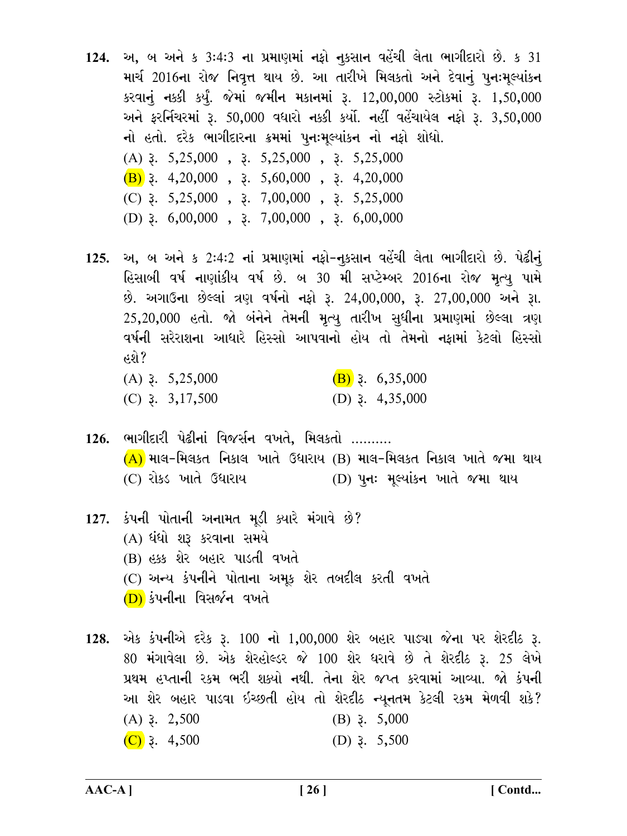- 124. અ, બ અને ક 3:4:3 ના પ્રમાણમાં નફો નૂકસાન વહેંચી લેતા ભાગીદારો છે. ક 31 માર્ચ 2016ના રોજ નિવૃત્ત થાય છે. આ તારીખે મિલકતો અને દેવાનું પુનઃમુલ્યાંકન કરવાનું નક્કી કર્યું. જેમાં જમીન મકાનમાં રૂ. 12,00,000 સ્ટોકમાં રૂ. 1,50,000 અને ફરર્નિચરમાં રૂ. 50,000 વધારો નક્કી કર્યો. નહીં વહેંચાયેલ નફો રૂ. 3,50,000 નો હતો. દરેક ભાગીદારના ક્રમમાં પુનઃમૂલ્યાંકન નો નફો શોધો.  $(A)$  3. 5,25,000, 3. 5,25,000, 3. 5,25,000  $(B)$  3. 4,20,000, 3. 5,60,000, 3. 4,20,000 (C)  $\overline{3}$ . 5,25,000,  $\overline{3}$ . 7,00,000,  $\overline{3}$ . 5,25,000 (D)  $3.6,00,000$ ,  $3.7,00,000$ ,  $3.6,00,000$
- 125. અ, બ અને ક 2:4:2 નાં પ્રમાણમાં નફો-નુકસાન વહેંચી લેતા ભાગીદારો છે. પેઢીનું હિસાબી વર્ષ નાણાંકીય વર્ષ છે. બ 30 મી સપ્ટેમ્બર 2016ના રોજ મૃત્યુ પામે છે. અગાઉના છેલ્લાં ત્રણ વર્ષનો નફો રૂ. 24,00,000, રૂ. 27,00,000 અને રૂા. 25,20,000 હતો. જો બંનેને તેમની મૃત્યુ તારીખ સુધીના પ્રમાણમાં છેલ્લા ત્રણ વર્ષની સરેરાશના આધારે હિસ્સો આપવાનો હોય તો તેમનો નકામાં કેટલો હિસ્સો હશે?

| $(A)$ 3. 5,25,000          | $(B)$ 3. 6,35,000        |
|----------------------------|--------------------------|
| (C) $\lambda$ , 3, 17, 500 | (D) $\lambda$ , 4,35,000 |

- <u>126. ભાગીદારી પેઢીનાં વિજર્સન વખતે. મિલકતો ……….</u>  $(A)$  માલ-મિલકત નિકાલ ખાતે ઉધારાય (B) માલ-મિલકત નિકાલ ખાતે જમા થાય (C) રોકડ ખાતે ઉધારાય (D) પનઃ મૂલ્યાંકન ખાતે જમા થાય
- 127. કંપની પોતાની અનામત મૂડી ક્યારે મંગાવે છે? (A) ધંધો શરૂ કરવાના સમયે (B) હક્ક શેર બહાર પાડતી વખતે (C) અન્ય કંપનીને પોતાના અમૂક શેર તબદીલ કરતી વખતે (D) કંપનીના વિસર્જન વખતે
- 128. એક કંપનીએ દરેક રૂ. 100 નો 1,00,000 શેર બહાર પાડ્યા જેના પર શેરદીઠ રૂ. 80 મંગાવેલા છે. એક શેરહોલ્ડર જે 100 શેર ધરાવે છે તે શેરદીઠ રૂ. 25 લેખે પ્રથમ હપ્તાની રકમ ભરી શક્યો નથી. તેના શેર જપ્ત કરવામાં આવ્યા. જો કંપની આ શેર બહાર પાડવા ઇચ્છતી હોય તો શેરદીઠ ન્યૂનતમ કેટલી રકમ મેળવી શકે?  $(A)$  3. 2,500  $(B)$  3. 5,000  $(C)$  3. 4,500 (D)  $3.5,500$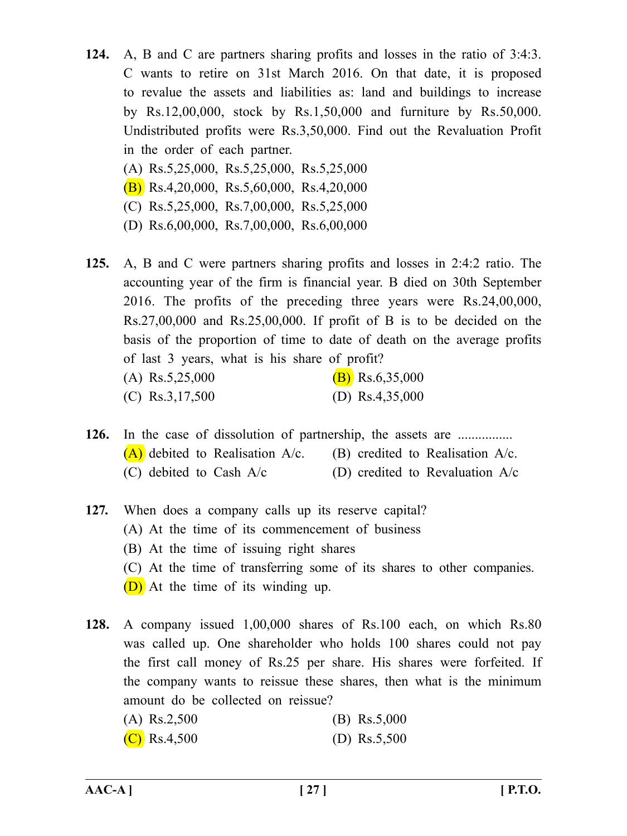- **124.** A, B and C are partners sharing profits and losses in the ratio of 3:4:3. C wants to retire on 31st March 2016. On that date, it is proposed to revalue the assets and liabilities as: land and buildings to increase by Rs.12,00,000, stock by Rs.1,50,000 and furniture by Rs.50,000. Undistributed profits were Rs.3,50,000. Find out the Revaluation Profit in the order of each partner.
	- (A) Rs.5,25,000, Rs.5,25,000, Rs.5,25,000
	- $(B)$  Rs.4,20,000, Rs.5,60,000, Rs.4,20,000
	- (C) Rs.5,25,000, Rs.7,00,000, Rs.5,25,000
	- (D) Rs.6,00,000, Rs.7,00,000, Rs.6,00,000
- **125.** A, B and C were partners sharing profits and losses in 2:4:2 ratio. The accounting year of the firm is financial year. B died on 30th September 2016. The profits of the preceding three years were Rs.24,00,000,  $Rs.27,00,000$  and  $Rs.25,00,000$ . If profit of B is to be decided on the basis of the proportion of time to date of death on the average profits of last 3 years, what is his share of profit? (A) Rs.5,25,000 (B) Rs.6,35,000
	- (C) Rs.3,17,500 (D) Rs.4,35,000
- **126.** In the case of dissolution of partnership, the assets are ................  $(A)$  debited to Realisation A/c. (B) credited to Realisation A/c. (C) debited to Cash  $A/c$  (D) credited to Revaluation  $A/c$
- **127.** When does a company calls up its reserve capital? (A) At the time of its commencement of business (B) At the time of issuing right shares (C) At the time of transferring some of its shares to other companies. (D) At the time of its winding up.
- **128.** A company issued 1,00,000 shares of Rs.100 each, on which Rs.80 was called up. One shareholder who holds 100 shares could not pay the first call money of Rs.25 per share. His shares were forfeited. If the company wants to reissue these shares, then what is the minimum amount do be collected on reissue? (A) Rs.2,500 (B) Rs.5,000
	- (C) Rs.4,500 (D) Rs.5,500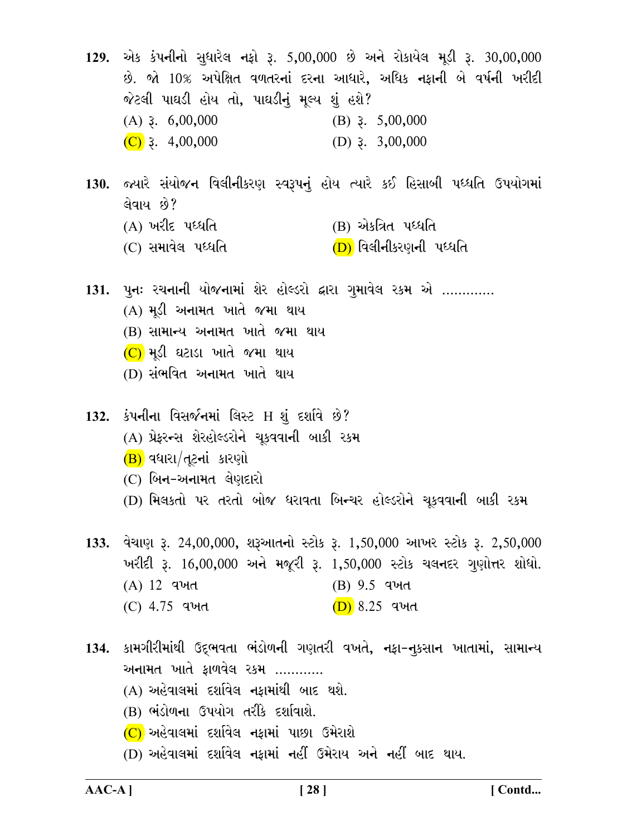129. એક કંપનીનો સુધારેલ નફો રૂ. 5,00,000 છે અને રોકાયેલ મૂડી રૂ. 30,00,000 છે. જો 10% અપેક્ષિત વળતરનાં દરના આધારે, અધિક નફાની બે વર્ષની ખરીદી જેટલી પાઘડી હોય તો, પાઘડીનું મૂલ્ય શું હશે? (B)  $\lambda$  5,00,000  $(A)$  3. 6,00,000  $(C)$  3. 4,00,000 (D)  $3.3,00,000$ 

- 130. જ્યારે સંયોજન વિલીનીકરણ સ્વરૂપનું હોય ત્યારે કઈ હિસાબી પધ્ધતિ ઉપયોગમાં લેવાય છે?
	- $(A)$  ખરીદ પધ્ધતિ (B) એકત્રિત પધ્ધતિ
	- (C) સમાવેલ પધ્ધતિ (D) વિલીનીકરણની પધ્ધતિ

131. પુનઃ રચનાની યોજનામાં શેર હોલ્ડરો દ્વારા ગુમાવેલ રકમ એ ............. (A) મૂડી અનામત ખાતે જમા થાય (B) સામાન્ય અનામત ખાતે જમા થાય

- $(C)$  મૂડી ઘટાડા ખાતે જમા થાય
- (D) સંભવિત અનામત ખાતે થાય

132. કંપનીના વિસર્જનમાં લિસ્ટ $H$  શું દર્શાવે છે? (A) પ્રેફરન્સ શેરહોલ્ડરોને ચૂકવવાની બાકી રકમ  $(B)$  વધારા $/d$ ટનાં કારણો  $(C)$  બિન-અનામત લેણદારો (D) મિલકતો પર તરતો બોજ ધરાવતા બિન્ચર હોલ્ડરોને ચૂકવવાની બાકી રકમ

133. વેચાણ રૂ. 24,00,000, શરૂઆતનો સ્ટોક રૂ. 1,50,000 આખર સ્ટોક રૂ. 2,50,000 ખરીદી રૂ. 16,00,000 અને મજૂરી રૂ. 1,50,000 સ્ટોક ચલનદર ગુણોત્તર શોધો. (A) 12 વખત (B) 9.5 qખત  $(D) 8.25$  qud  $(C)$  4.75 વખત

134. કામગીરીમાંથી ઉદ્ભવતા ભંડોળની ગણતરી વખતે, નફા-નૂકસાન ખાતામાં, સામાન્ય અનામત ખાતે કાળવેલ રકમ ………… (A) અહેવાલમાં દર્શાવેલ નફામાંથી બાદ થશે. (B) ભંડોળના ઉપયોગ તરીકે દર્શાવાશે.  $(C)$  અહેવાલમાં દર્શાવેલ નફામાં પાછા ઉમેરાશે (D) અહેવાલમાં દર્શાવેલ નફામાં નહીં ઉમેરાય અને નહીં બાદ થાય.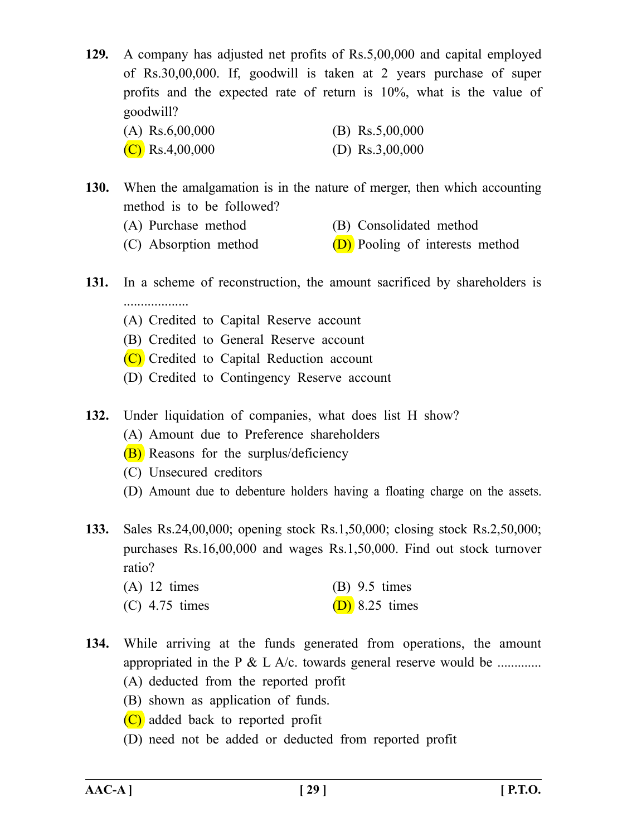**129.** A company has adjusted net profits of Rs.5,00,000 and capital employed of Rs.30,00,000. If, goodwill is taken at 2 years purchase of super profits and the expected rate of return is 10%, what is the value of goodwill?

| $(A)$ Rs.6,00,000 | (B) $\text{Rs}.5,00,000$ |
|-------------------|--------------------------|
| $(C)$ Rs.4,00,000 | (D) $\text{Rs}.3,00,000$ |

- **130.** When the amalgamation is in the nature of merger, then which accounting method is to be followed?
	- (A) Purchase method (B) Consolidated method
	- (C) Absorption method  $(D)$  Pooling of interests method
- **131.** In a scheme of reconstruction, the amount sacrificed by shareholders is
	- (A) Credited to Capital Reserve account
	- (B) Credited to General Reserve account
	- (C) Credited to Capital Reduction account
	- (D) Credited to Contingency Reserve account
- **132.** Under liquidation of companies, what does list H show?
	- (A) Amount due to Preference shareholders
	- (B) Reasons for the surplus/deficiency
	- (C) Unsecured creditors
	- (D) Amount due to debenture holders having a floating charge on the assets.
- **133.** Sales Rs.24,00,000; opening stock Rs.1,50,000; closing stock Rs.2,50,000; purchases Rs.16,00,000 and wages Rs.1,50,000. Find out stock turnover ratio?
	- (A) 12 times (B) 9.5 times (C) 4.75 times (D) 8.25 times
- **134.** While arriving at the funds generated from operations, the amount appropriated in the P  $\&$  L A/c. towards general reserve would be ............
	- (A) deducted from the reported profit
	- (B) shown as application of funds.
	- (C) added back to reported profit
	- (D) need not be added or deducted from reported profit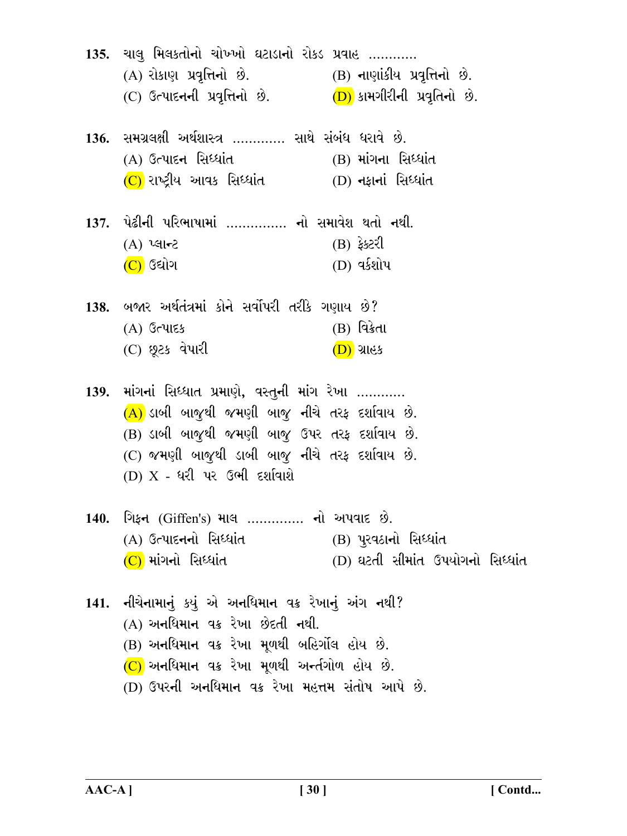| 135. ચાલુ મિલકતોનો ચોખ્ખો ઘટાડાનો રોકડ પ્રવાહ<br>(A) રોકાણ પ્રવૃત્તિનો છે. (B) નાણાંકીય પ્રવૃત્તિનો છે.<br>(C) ઉત્પાદનની પ્રવૃત્તિનો છે. $(D)$ કામગીરીની પ્રવૃતિનો છે.                                                                          |                                                           |
|-------------------------------------------------------------------------------------------------------------------------------------------------------------------------------------------------------------------------------------------------|-----------------------------------------------------------|
| 136. સમગ્રલક્ષી અર્થશાસ્ત્ર …………. સાથે સંબંધ ધરાવે છે.<br>(A) ઉત્પાદન સિધ્ધાંત<br>$(C)$ રાષ્ટ્રીય આવક સિધ્ધાંત (D) નફાનાં સિધ્ધાંત                                                                                                              | $(B)$ માંગના સિધ્ધાંત                                     |
| 137. પેઢીની પરિભાષામાં …………… નો સમાવેશ થતો નથી.<br>$(A)$ પ્લાન્ટ<br>$(C)$ ઉદ્યોગ                                                                                                                                                                | (B) ફેક્ટરી<br>(D) વર્કશોપ                                |
| 138. બજાર અર્થતંત્રમાં કોને સર્વોપરી તરીકે ગણાય છે?<br>$(A)$ ઉત્પાદક<br>(C) છૂટક વેપારી                                                                                                                                                         | (B) વિક્રેતા<br>(D) ગ્રાહક                                |
| 139. માંગનાં સિધ્ધાત પ્રમાણે, વસ્તુની માંગ રેખા<br>(A) ડાબી બાજુથી જમણી બાજુ નીચે તરફ દર્શાવાય છે.<br>(B) ડાબી બાજુથી જમણી બાજુ ઉપર તરફ દર્શાવાય છે.<br>(C) જમણી બાજુથી ડાબી બાજુ નીચે તરફ દર્શાવાય છે.<br>(D) $X$ - ધરી પર ઉભી દર્શાવાશે       |                                                           |
| 140. ગિફન (Giffen's) માલ  નો અપવાદ છે.<br>(A) ઉત્પાદનનો સિધ્ધાંત<br>$(C)$ માંગનો સિધ્ધાંત                                                                                                                                                       | (B) પુરવઠાનો સિધ્ધાંત<br>(D) ઘટતી સીમાંત ઉપયોગનો સિધ્ધાંત |
| 141. નીચેનામાનું કયું એ અનધિમાન વક્ર રેખાનું અંગ નથી?<br>(A) અનધિમાન વક્ર રેખા છેદતી નથી.<br>(B) અનધિમાન વક્ર રેખા મૂળથી બહિર્ગોલ હોય છે.<br>$(C)$ અનધિમાન વક્ર રેખા મૂળથી અન્તંગોળ હોય છે.<br>(D) ઉપરની અનધિમાન વક્ર રેખા મહત્તમ સંતોષ આપે છે. |                                                           |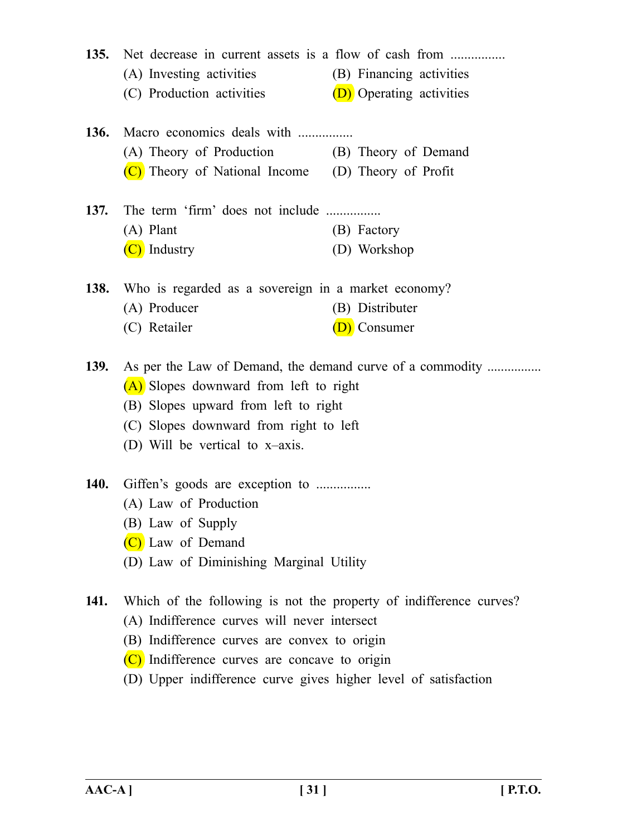**135.** Net decrease in current assets is a flow of cash from ................ (A) Investing activities (B) Financing activities (C) Production activities  $(D)$  Operating activities **136.** Macro economics deals with ................ (A) Theory of Production (B) Theory of Demand (C) Theory of National Income (D) Theory of Profit **137.** The term 'firm' does not include ................. (A) Plant (B) Factory (C) Industry (D) Workshop **138.** Who is regarded as a sovereign in a market economy? (A) Producer (B) Distributer (C) Retailer (D) Consumer

**139.** As per the Law of Demand, the demand curve of a commodity ................ (A) Slopes downward from left to right

- (B) Slopes upward from left to right
- (C) Slopes downward from right to left
- (D) Will be vertical to x–axis.
- **140.** Giffen's goods are exception to .................
	- (A) Law of Production
	- (B) Law of Supply
	- (C) Law of Demand
	- (D) Law of Diminishing Marginal Utility
- **141.** Which of the following is not the property of indifference curves? (A) Indifference curves will never intersect
	- (B) Indifference curves are convex to origin
	- (C) Indifference curves are concave to origin
	- (D) Upper indifference curve gives higher level of satisfaction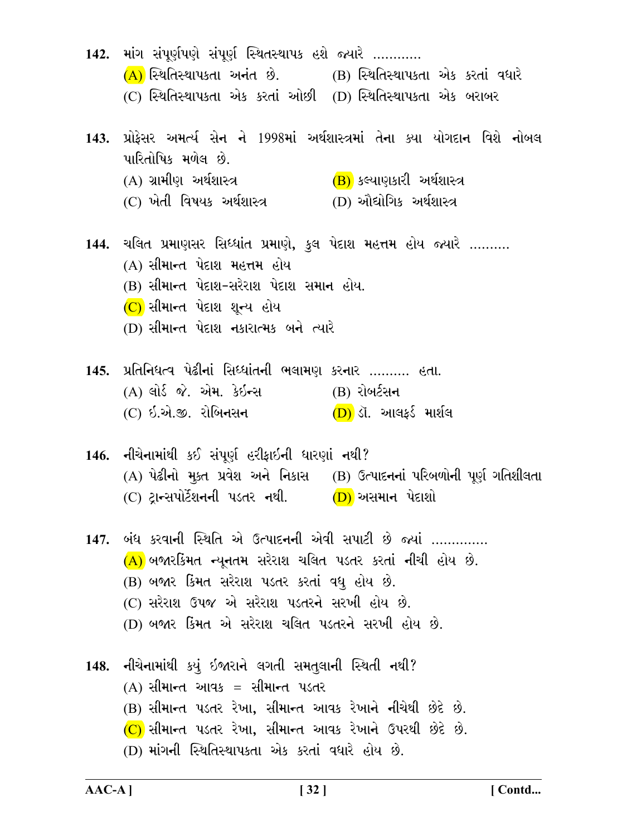142. માંગ સંપૂર્ણપણે સંપૂર્ણ સ્થિતસ્થાપક હશે જ્યારે ............  $(A)$  સ્થિતિસ્થાપકતા અનંત છે.  $(B)$  સ્થિતિસ્થાપકતા એક કરતાં વધારે (C) સ્થિતિસ્થાપકતા એક કરતાં ઓછી (D) સ્થિતિસ્થાપકતા એક બરાબર 143. પ્રોકેસર અમર્ત્ય સેન ને 1998માં અર્થશાસ્ત્રમાં તેના ક્યા યોગદાન વિશે નોબલ પારિતોષિક મળેલ છે. (A) ગ્રામીણ અર્થશાસ્ત્ર (B) કલ્યાણકારી અર્થશાસ્ત્ર (D) ઔદ્યોગિક અર્થશાસ્ત્ર (C) ખેતી વિષયક અર્થશાસ્ત્ર 144. ચલિત પ્રમાણસર સિધ્ધાંત પ્રમાણે, કુલ પેદાશ મહત્તમ હોય જ્યારે .......... (A) સીમાન્ત પેદાશ મહત્તમ હોય (B) સીમાન્ત પેદાશ-સરેરાશ પેદાશ સમાન હોય.  $(C)$  સીમાન્ત પેદાશ શૂન્ય હોય (D) સીમાન્ત પેદાશ નકારાત્મક બને ત્યારે 145. પ્રતિનિધત્વ પેઢીનાં સિધ્ધાંતની ભલામણ કરનાર .......... હતા. (A) લોર્ડ જે. એમ. કેઇ<del>ન્</del>સ (B) રોબર્ટસન (C) ઇ.એ.જી. રોબિનસન  $(D)$  ડૉ. આલકર્ડ માર્શલ 146. નીચેનામાંથી કઈ સંપૂર્ણ હરીફાઇની ધારણાં નથી? (A) પેઢીનો મૂક્ત પ્રવેશ અને નિકાસ (B) ઉત્પાદનનાં પરિબળોની પૂર્ણ ગતિશીલતા (C) ટાન્સપોર્ટેશનની પડતર નથી.  $(D)$  અસમાન પેદાશો 147. બંધ કરવાની સ્થિતિ એ ઉત્પાદનની એવી સપાટી છે જ્યાં ..............  $(A)$  બજારકિંમત ન્યૂનતમ સરેરાશ ચલિત પડતર કરતાં નીચી હોય છે. (B) બજાર કિંમત સરેરાશ પડતર કરતાં વધુ હોય છે. (C) સરેરાશ ઉપજ એ સરેરાશ પડતરને સરખી હોય છે. (D) બજાર કિંમત એ સરેરાશ ચલિત પડતરને સરખી હોય છે. 148. નીચેનામાંથી કયું ઇજારાને લગતી સમતલાની સ્થિતી નથી?  $(A)$  સીમાન્ત આવક = સીમાન્ત પડતર (B) સીમાન્ત પડતર રેખા, સીમાન્ત આવક રેખાને નીચેથી છેદે છે.  $(C)$  સીમાન્ત પડતર રેખા, સીમાન્ત આવક રેખાને ઉપરથી છેદે છે. (D) માંગની સ્થિતિસ્થાપકતા એક કરતાં વધારે હોય છે.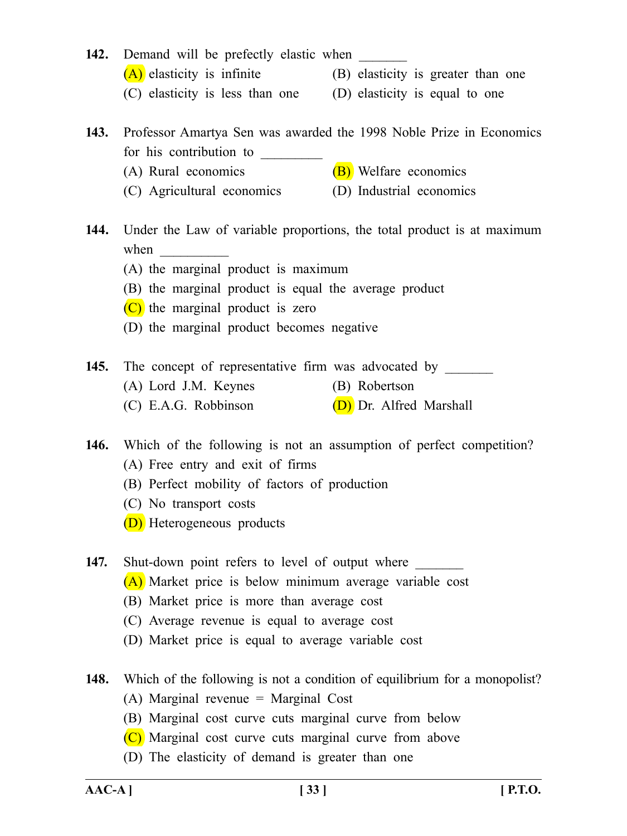- **142.** Demand will be prefectly elastic when  $(A)$  elasticity is infinite (B) elasticity is greater than one
	- (C) elasticity is less than one (D) elasticity is equal to one
- -
- **143.** Professor Amartya Sen was awarded the 1998 Noble Prize in Economics for his contribution to
	- (A) Rural economics  $(B)$  Welfare economics
	- (C) Agricultural economics (D) Industrial economics
- **144.** Under the Law of variable proportions, the total product is at maximum when  $\Box$ 
	- (A) the marginal product is maximum
	- (B) the marginal product is equal the average product
	- (C) the marginal product is zero
	- (D) the marginal product becomes negative
- 145. The concept of representative firm was advocated by (A) Lord J.M. Keynes (B) Robertson (C) E.A.G. Robbinson  $(D)$  Dr. Alfred Marshall
- **146.** Which of the following is not an assumption of perfect competition? (A) Free entry and exit of firms
	- (B) Perfect mobility of factors of production
	- (C) No transport costs
	- (D) Heterogeneous products

**147.** Shut-down point refers to level of output where

- (A) Market price is below minimum average variable cost
- (B) Market price is more than average cost
- (C) Average revenue is equal to average cost
- (D) Market price is equal to average variable cost
- **148.** Which of the following is not a condition of equilibrium for a monopolist?
	- (A) Marginal revenue = Marginal Cost
	- (B) Marginal cost curve cuts marginal curve from below
	- (C) Marginal cost curve cuts marginal curve from above
	- (D) The elasticity of demand is greater than one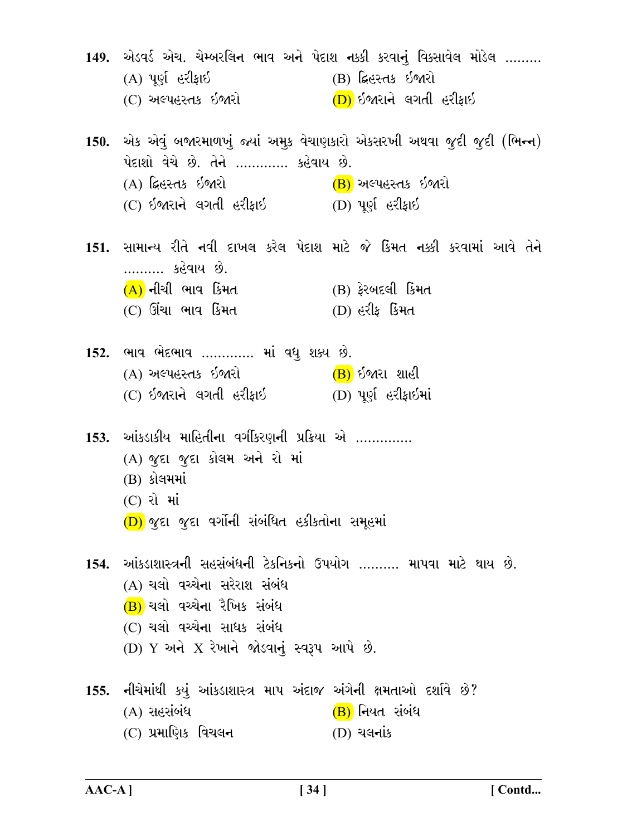149. એડવર્ડ એચ. ચેમ્બરલિન ભાવ અને પેદાશ નક્કી કરવાનું વિકસાવેલ મોડેલ ......... (A) પૂર્ણ હરીફાઇ (B) દ્વિસ્તક ઇજારો (D) ઇજારાને લગતી હરીકાઇ (C) અલ્પહસ્તક ઈજારો 150. એક એવું બજારમાળખું જ્યાં અમુક વેચાણકારો એકસરખી અથવા જૂદી જૂદી (ભિન્ન) પેદાશો વેચે છે. તેને ............. કહેવાય છે. (A) ફિહસ્તક ઇજારો (B) અલ્પહસ્તક ઈજારો (C) ઇજારાને લગતી હરીફાઇ (D) પૂર્ણ હરીફાઇ 151. સામાન્ય રીતે નવી દાખલ કરેલ પેદાશ માટે જે કિંમત નક્કી કરવામાં આવે તેને ………. કહેવાય છે.  $(A)$  નીચી ભાવ કિંમત  $(B)$  ફેરબદલી કિંમત  $(C)$  ઊંચા ભાવ કિમત  $(D)$  હરીક કિંમત 152. ભાવ ભેદભાવ …………. માં વધુ શક્ય છે. (B) ઇજારા શાહી (A) અલ્પહસ્તક ઈજારો (C) ઇજારાને લગતી હરીફાઇ (D) પૂર્ણ હરીફાઇમાં 153. આંકડાકીય માહિતીના વર્ગીકરણની પ્રક્રિયા એ .............. (A) જુદા જુદા કોલમ અને રો માં (B) કોલમમાં  $(C)$  રો માં (D) જુદા જુદા વર્ગોની સંબંધિત હકીકતોના સમૂહમાં 154. આંકડાશાસ્ત્રની સહસંબંધની ટેકનિકનો ઉપયોગ ……… માપવા માટે થાય છે. (A) ચલો વચ્ચેના સરેરાશ સંબંધ  $(B)$  ચલો વચ્ચેના રૈખિક સંબંધ (C) ચલો વચ્ચેના સાધક સંબંધ  $(D)$  Y અને X રેખાને જોડવાનું સ્વરૂપ આપે છે. 155. નીચેમાંથી કયું આંકડાશાસ્ત્ર માપ અંદાજ અંગેની ક્ષમતાઓ દર્શાવે છે?  $(A)$  સહસંબંધ (B) નિયત સંબંધ (C) પ્રમાણિક વિચલ**ન**  $(D)$  ચલનાંક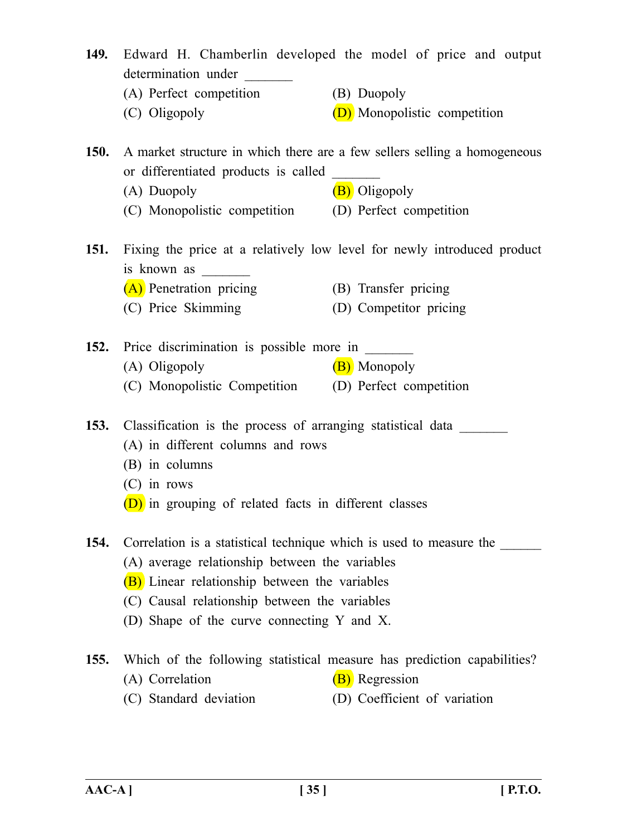| 149.        | determination under<br>(A) Perfect competition<br>(C) Oligopoly                                                                                                                                                                                                       | Edward H. Chamberlin developed the model of price and output<br>(B) Duopoly<br>(D) Monopolistic competition               |
|-------------|-----------------------------------------------------------------------------------------------------------------------------------------------------------------------------------------------------------------------------------------------------------------------|---------------------------------------------------------------------------------------------------------------------------|
| <b>150.</b> | or differentiated products is called                                                                                                                                                                                                                                  | A market structure in which there are a few sellers selling a homogeneous                                                 |
|             | (A) Duopoly<br>(C) Monopolistic competition (D) Perfect competition                                                                                                                                                                                                   | (B) Oligopoly                                                                                                             |
|             | is known as<br>(A) Penetration pricing                                                                                                                                                                                                                                | 151. Fixing the price at a relatively low level for newly introduced product<br>(B) Transfer pricing                      |
|             | (C) Price Skimming                                                                                                                                                                                                                                                    | (D) Competitor pricing                                                                                                    |
|             | 152. Price discrimination is possible more in ______<br>(A) Oligopoly<br>(C) Monopolistic Competition (D) Perfect competition                                                                                                                                         | (B) Monopoly                                                                                                              |
|             | 153. Classification is the process of arranging statistical data<br>(A) in different columns and rows<br>(B) in columns<br>$(C)$ in rows<br>(D) in grouping of related facts in different classes                                                                     |                                                                                                                           |
| 154.        | Correlation is a statistical technique which is used to measure the<br>(A) average relationship between the variables<br>(B) Linear relationship between the variables<br>(C) Causal relationship between the variables<br>(D) Shape of the curve connecting Y and X. |                                                                                                                           |
| <b>155.</b> | (A) Correlation<br>(C) Standard deviation                                                                                                                                                                                                                             | Which of the following statistical measure has prediction capabilities?<br>(B) Regression<br>(D) Coefficient of variation |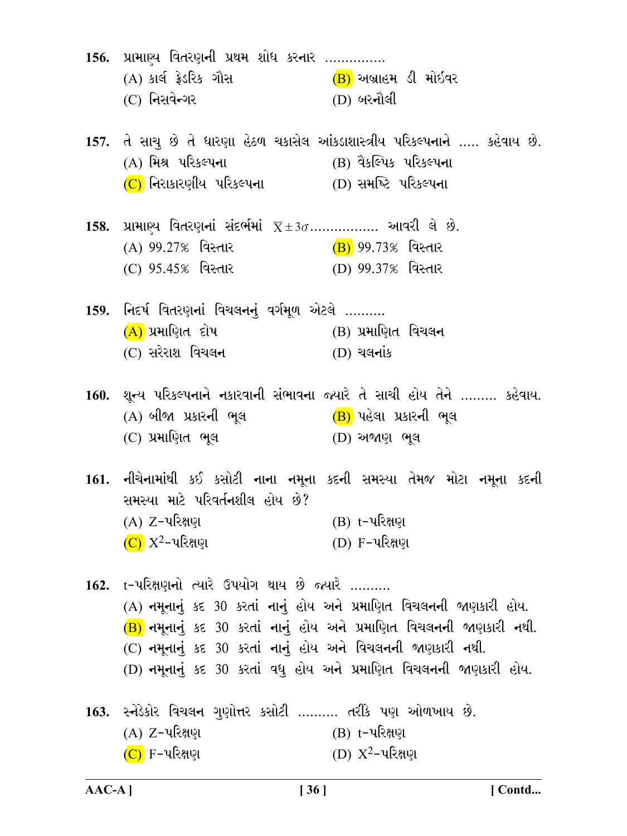| 156. પ્રામાણ્ય વિતરણની પ્રથમ શોધ કરનાર<br>(A) કાર્લ ફ્રેડરિક ગૌસ <mark>(B)</mark> અબ્રાહમ ડી મોઇવર<br>(C) નિસવેન્ગર                       | $(D)$ બરનૌલી                                                                                                                                                                                                       |
|-------------------------------------------------------------------------------------------------------------------------------------------|--------------------------------------------------------------------------------------------------------------------------------------------------------------------------------------------------------------------|
| (A) મિશ્ર પરિકલ્પના                       (B) વૈકલ્પિક પરિકલ્પના<br>$(C)$ નિરાકારણીય પરિકલ્પના $(D)$ સમષ્ટિ પરિકલ્પના                     | 157. તે સાચુ છે તે ધારણા હેઠળ ચકાસેલ આંકડાશાસ્ત્રીય પરિકલ્પનાને  કહેવાય છે.                                                                                                                                        |
| 158. પ્રામાણ્ય વિતરણનાં સંદર્ભમાં $\overline{X} \pm 3\sigma$ આવરી લે છે.<br>(C) 95.45% વિસ્તાર                         (D) 99.37% વિસ્તાર |                                                                                                                                                                                                                    |
| 159. નિદર્ષ વિતરણનાં વિચલનનું વર્ગમૂળ એટલે ……….<br>$(A)$ પ્રમાણિત દોષ $(B)$ પ્રમાણિત વિચલન<br>(C) સરેરાશ વિચલ <b>ન</b>                    | $(D)$ ચલનાંક                                                                                                                                                                                                       |
| (A) બીજા પ્રકારની ભૂલ (B) પહેલા પ્રકારની ભૂલ<br>(C) પ્રમાણિત ભૂલ                    (D) અજાણ ભૂલ                                          | 160. શૂન્ય પરિકલ્પનાને નકારવાની સંભાવના જ્યારે તે સાચી હોય તેને ……… કહેવાય.                                                                                                                                        |
| સમસ્યા માટે પરિવર્તનશીલ હોય છે?<br>(A) Z-પરિક્ષણ<br>$(C)$ $X^2$ –પરિક્ષણ                                                                  | 161. નીચેનામાંથી કઈ કસોટી નાના નમૂના કદની સમસ્યા તેમજ મોટા નમૂના કદની<br>(B) t-પરિક્ષણ<br>(D) F-પરિક્ષણ                                                                                                            |
| 162. t-પરિક્ષણનો ત્યારે ઉપયોગ થાય છે જ્યારે<br>(C) નમૂનાનું કદ 30 કરતાં નાનું હોય અને વિચલનની જાણકારી નથી.                                | (A) નમૂનાનું કદ 30 કરતાં નાનું હોય અને પ્રમાણિત વિચલનની જાણકારી હોય.<br>(B) નમૂનાનું કદ 30 કરતાં નાનું હોય અને પ્રમાણિત વિચલનની જાણકારી નથી.<br>(D) નમૂનાનું કદ 30 કરતાં વધુ હોય અને પ્રમાણિત વિચલનની જાણકારી હોય. |
| 163. સ્નેડેકોર વિચલન ગુણોત્તર કસોટી ………. તરીકે પણ ઓળખાય છે.<br>(A) Z-પરિક્ષણ<br>$(C)$ F−પરિક્ષણ                                           | (B) t-પરિક્ષણ<br>(D) $X^2$ -પરિક્ષણ                                                                                                                                                                                |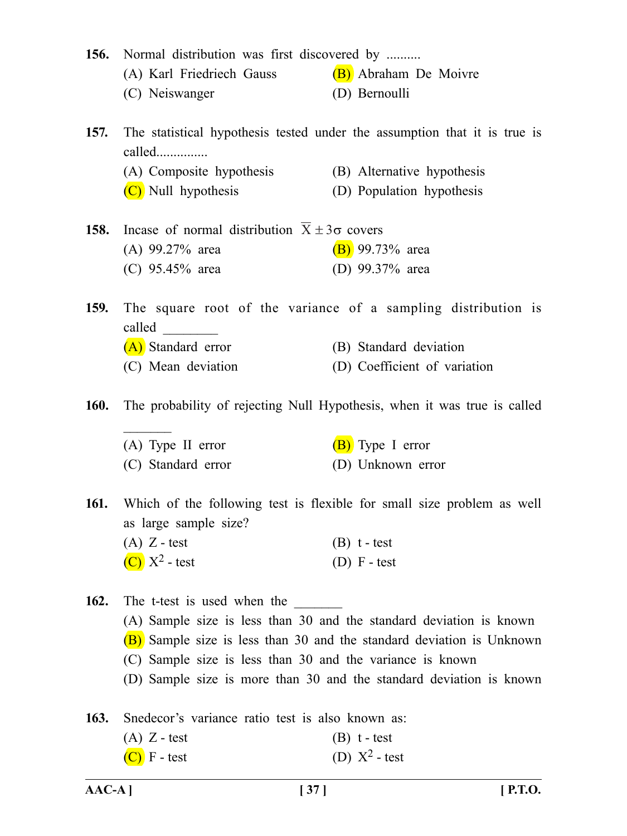| 156. Normal distribution was first discovered by |                                                                                                                                                                                                                                                                                               |
|--------------------------------------------------|-----------------------------------------------------------------------------------------------------------------------------------------------------------------------------------------------------------------------------------------------------------------------------------------------|
|                                                  |                                                                                                                                                                                                                                                                                               |
| (C) Neiswanger                                   | (D) Bernoulli                                                                                                                                                                                                                                                                                 |
| called                                           | The statistical hypothesis tested under the assumption that it is true is                                                                                                                                                                                                                     |
| (A) Composite hypothesis                         | (B) Alternative hypothesis                                                                                                                                                                                                                                                                    |
| $(C)$ Null hypothesis                            | (D) Population hypothesis                                                                                                                                                                                                                                                                     |
|                                                  |                                                                                                                                                                                                                                                                                               |
| $(A)$ 99.27% area                                | $(B)$ 99.73% area                                                                                                                                                                                                                                                                             |
| (C) 95.45% area                                  | (D) 99.37% area                                                                                                                                                                                                                                                                               |
| $called \qquad \qquad$                           | The square root of the variance of a sampling distribution is                                                                                                                                                                                                                                 |
| (A) Standard error                               | (B) Standard deviation                                                                                                                                                                                                                                                                        |
| (C) Mean deviation                               | (D) Coefficient of variation                                                                                                                                                                                                                                                                  |
|                                                  | The probability of rejecting Null Hypothesis, when it was true is called                                                                                                                                                                                                                      |
| $(A)$ Type II error                              | $(B)$ Type I error                                                                                                                                                                                                                                                                            |
| (C) Standard error                               | (D) Unknown error                                                                                                                                                                                                                                                                             |
| as large sample size?                            | 161. Which of the following test is flexible for small size problem as well                                                                                                                                                                                                                   |
|                                                  | $(B)$ t - test                                                                                                                                                                                                                                                                                |
| $(C)$ $X^2$ - test                               | $(D)$ F - test                                                                                                                                                                                                                                                                                |
|                                                  |                                                                                                                                                                                                                                                                                               |
|                                                  |                                                                                                                                                                                                                                                                                               |
|                                                  | (B) Sample size is less than 30 and the standard deviation is Unknown                                                                                                                                                                                                                         |
|                                                  |                                                                                                                                                                                                                                                                                               |
|                                                  | (D) Sample size is more than 30 and the standard deviation is known                                                                                                                                                                                                                           |
|                                                  |                                                                                                                                                                                                                                                                                               |
| Snedecor's variance ratio test is also known as: |                                                                                                                                                                                                                                                                                               |
| $(A)$ Z - test                                   | $(B)$ t - test                                                                                                                                                                                                                                                                                |
|                                                  | (A) Karl Friedriech Gauss (B) Abraham De Moivre<br>In case of normal distribution $X \pm 3\sigma$ covers<br>$(A)$ Z - test<br>The t-test is used when the<br>(A) Sample size is less than 30 and the standard deviation is known<br>(C) Sample size is less than 30 and the variance is known |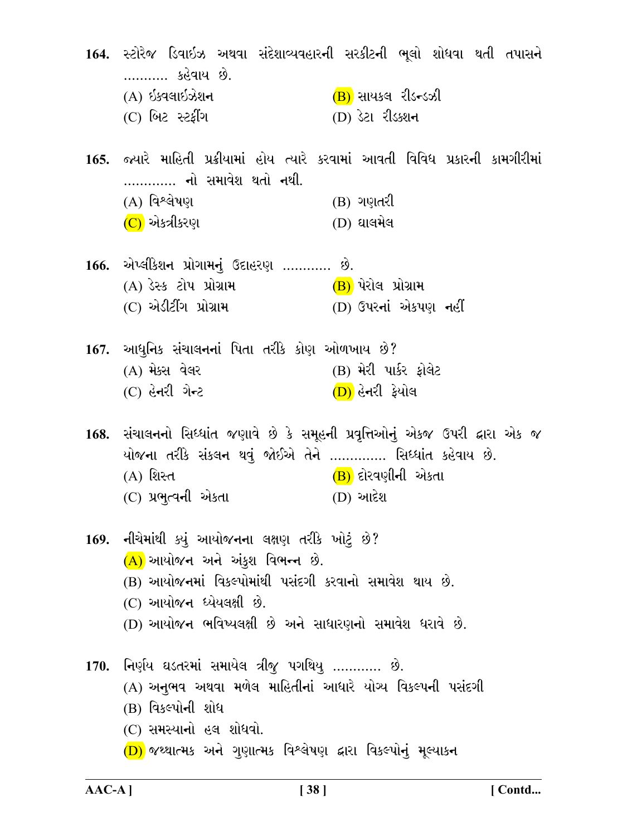164. સ્ટોરેજ ડિવાઇઝ અથવા સંદેશાવ્યવહારની સરકીટની ભૂલો શોધવા થતી તપાસને ………… કહેવાય છે. (B) સાયકલ રીડ<del>ન</del>્ડઝી (A) ઇક્વલાઇઝેશન (C) બિટ સ્ટર્ફીંગ (D) ડેટા રીડક્શન 165. જ્યારે માહિતી પ્રક્રીયામાં હોય ત્યારે કરવામાં આવતી વિવિધ પ્રકારની કામગીરીમાં …………. નો સમાવેશ થતો નથી. (A) વિશ્લેષણ (B) ગણતરી  $(D)$  ઘાલમેલ (C) એકત્રીકરણ 166. એપ્લીકેશન પ્રોગામનું ઉદાહરણ ............ છે.  $(A)$  ડેસ્ક ટોપ પ્રોગ્રામ  $(B)$  પેરોલ પ્રોગ્રામ (C) એડીટીંગ પ્રોગ્રામ (D) ઉપરનાં એકપણ નહીં 167. આધુનિક સંચાલનનાં પિતા તરીકે કોણ ઓળખાય છે? (A) મેક્સ વેલર (B) મેરી પાર્કર ફોલેટ (C) હેનરી ગેન્ટ (D) હેનરી ફેયોલ 168. સંચાલનનો સિધ્ધાંત જણાવે છે કે સમૂહની પ્રવૃત્તિઓનું એકજ ઉપરી દ્વારા એક જ યોજના તરીકે સંકલન થવું જોઈએ તેને ………….. સિધ્ધાંત કહેવાય છે. (B) દોરવણીની એકતા (A) શિસ્ત (C) પ્રભુત્વની એકતા  $(D)$  આદેશ 169. નીચેમાંથી ક્યું આયોજનના લક્ષણ તરીકે ખોટું છે?  $(A)$  આયોજન અને અંકુશ વિભન્ન છે. (B) આયોજનમાં વિકલ્પોમાંથી પસંદગી કરવાનો સમાવેશ થાય છે. (C) આયોજન ધ્યેયલક્ષી છે. (D) આયોજન ભવિષ્યલક્ષી છે અને સાધારણનો સમાવેશ ધરાવે છે. 170. નિર્ણય ઘડતરમાં સમાયેલ ત્રીજુ પગથિયુ ............ છે. (A) અનુભવ અથવા મળેલ માહિતીનાં આધારે યોગ્ય વિકલ્પની પસંદગી (B) વિકલ્પોની શોધ (C) સમસ્યાનો હલ શોધવો. (D) જથ્થાત્મક અને ગુણાત્મક વિશ્લેષણ દ્વારા વિકલ્પોનું મૂલ્યાકન